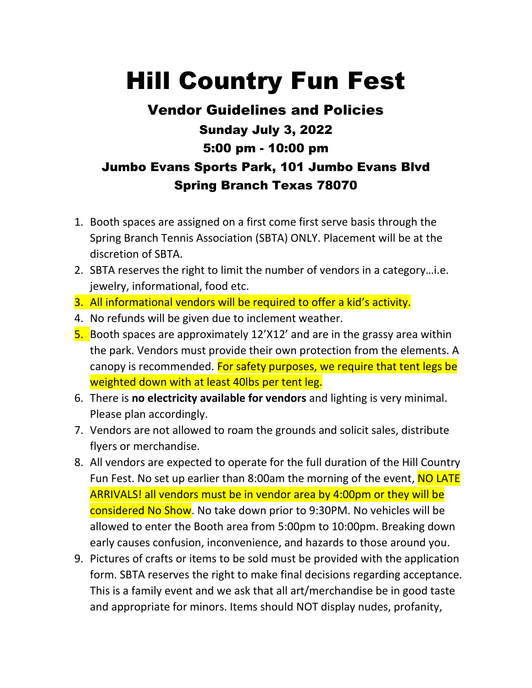## Hill Country Fun Fest

## Vendor Guidelines and Policies Sunday July 3, 2022 5:00 pm - 10:00 pm Jumbo Evans Sports Park, 101 Jumbo Evans Blvd Spring Branch Texas 78070

- 1. Booth spaces are assigned on a first come first serve basis through the Spring Branch Tennis Association (SBTA) ONLY. Placement will be at the discretion of SBTA.
- 2. SBTA reserves the right to limit the number of vendors in a category…i.e. jewelry, informational, food etc.
- 3. All informational vendors will be required to offer a kid's activity.
- 4. No refunds will be given due to inclement weather.
- 5. Booth spaces are approximately 12'X12' and are in the grassy area within the park. Vendors must provide their own protection from the elements. A canopy is recommended. For safety purposes, we require that tent legs be weighted down with at least 40lbs per tent leg.
- 6. There is **no electricity available for vendors** and lighting is very minimal. Please plan accordingly.
- 7. Vendors are not allowed to roam the grounds and solicit sales, distribute flyers or merchandise.
- 8. All vendors are expected to operate for the full duration of the Hill Country Fun Fest. No set up earlier than 8:00am the morning of the event, NO LATE ARRIVALS! all vendors must be in vendor area by 4:00pm or they will be considered No Show. No take down prior to 9:30PM. No vehicles will be allowed to enter the Booth area from 5:00pm to 10:00pm. Breaking down early causes confusion, inconvenience, and hazards to those around you.
- 9. Pictures of crafts or items to be sold must be provided with the application form. SBTA reserves the right to make final decisions regarding acceptance. This is a family event and we ask that all art/merchandise be in good taste and appropriate for minors. Items should NOT display nudes, profanity,